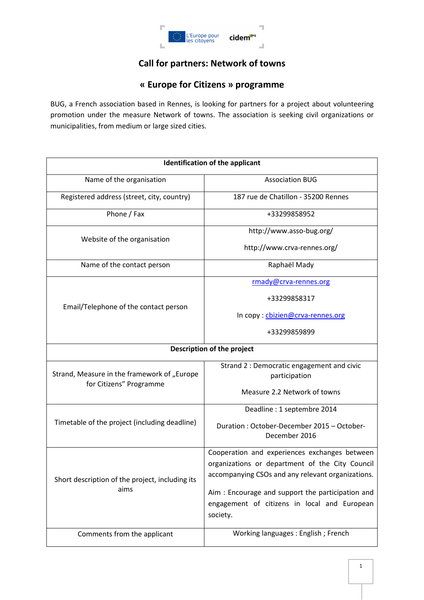

# **Call for partners: Network of towns**

## **« Europe for Citizens » programme**

BUG, a French association based in Rennes, is looking for partners for a project about volunteering promotion under the measure Network of towns. The association is seeking civil organizations or municipalities, from medium or large sized cities.

| <b>Identification of the applicant</b>                                 |                                                                                                  |
|------------------------------------------------------------------------|--------------------------------------------------------------------------------------------------|
| Name of the organisation                                               | <b>Association BUG</b>                                                                           |
| Registered address (street, city, country)                             | 187 rue de Chatillon - 35200 Rennes                                                              |
| Phone / Fax                                                            | +33299858952                                                                                     |
| Website of the organisation                                            | http://www.asso-bug.org/                                                                         |
|                                                                        | http://www.crva-rennes.org/                                                                      |
| Name of the contact person                                             | Raphaël Mady                                                                                     |
| Email/Telephone of the contact person                                  | rmady@crva-rennes.org                                                                            |
|                                                                        | +33299858317                                                                                     |
|                                                                        | In copy: cbizien@crva-rennes.org                                                                 |
|                                                                        | +33299859899                                                                                     |
| Description of the project                                             |                                                                                                  |
| Strand, Measure in the framework of "Europe<br>for Citizens" Programme | Strand 2 : Democratic engagement and civic<br>participation                                      |
|                                                                        |                                                                                                  |
|                                                                        | Measure 2.2 Network of towns                                                                     |
| Timetable of the project (including deadline)                          | Deadline: 1 septembre 2014                                                                       |
|                                                                        | Duration: October-December 2015 - October-<br>December 2016                                      |
| Short description of the project, including its<br>aims                | Cooperation and experiences exchanges between<br>organizations or department of the City Council |
|                                                                        | accompanying CSOs and any relevant organizations.                                                |
|                                                                        | Aim: Encourage and support the participation and                                                 |
|                                                                        | engagement of citizens in local and European                                                     |
|                                                                        | society.                                                                                         |
| Comments from the applicant                                            | Working languages: English; French                                                               |
|                                                                        |                                                                                                  |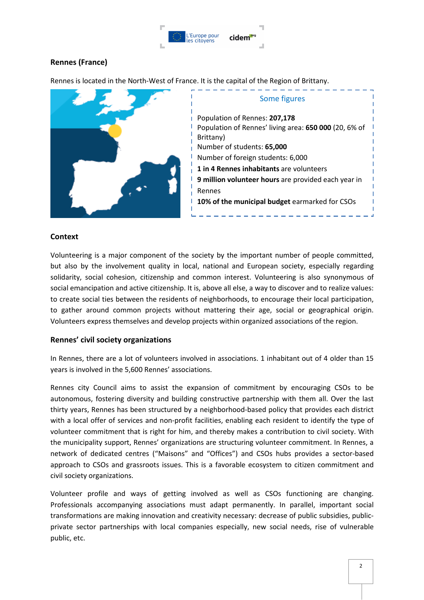

## **Rennes (France)**

Rennes is located in the North-West of France. It is the capital of the Region of Brittany.



## **Context**

Volunteering is a major component of the society by the important number of people committed, but also by the involvement quality in local, national and European society, especially regarding solidarity, social cohesion, citizenship and common interest. Volunteering is also synonymous of social emancipation and active citizenship. It is, above all else, a way to discover and to realize values: to create social ties between the residents of neighborhoods, to encourage their local participation, to gather around common projects without mattering their age, social or geographical origin. Volunteers express themselves and develop projects within organized associations of the region.

## **Rennes' civil society organizations**

In Rennes, there are a lot of volunteers involved in associations. 1 inhabitant out of 4 older than 15 years is involved in the 5,600 Rennes' associations.

Rennes city Council aims to assist the expansion of commitment by encouraging CSOs to be autonomous, fostering diversity and building constructive partnership with them all. Over the last thirty years, Rennes has been structured by a neighborhood-based policy that provides each district with a local offer of services and non-profit facilities, enabling each resident to identify the type of volunteer commitment that is right for him, and thereby makes a contribution to civil society. With the municipality support, Rennes' organizations are structuring volunteer commitment. In Rennes, a network of dedicated centres ("Maisons" and "Offices") and CSOs hubs provides a sector-based approach to CSOs and grassroots issues. This is a favorable ecosystem to citizen commitment and civil society organizations.

Volunteer profile and ways of getting involved as well as CSOs functioning are changing. Professionals accompanying associations must adapt permanently. In parallel, important social transformations are making innovation and creativity necessary: decrease of public subsidies, publicprivate sector partnerships with local companies especially, new social needs, rise of vulnerable public, etc.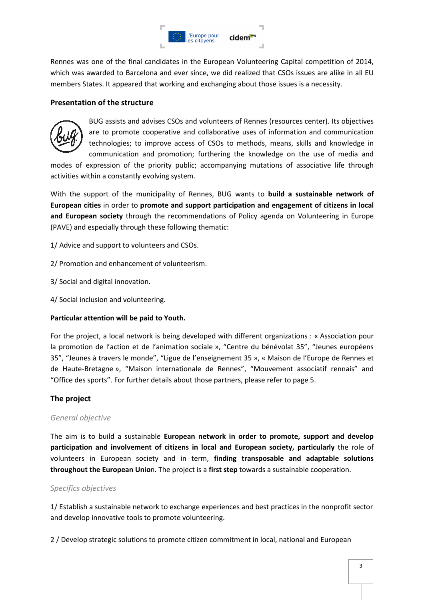

Rennes was one of the final candidates in the European Volunteering Capital competition of 2014, which was awarded to Barcelona and ever since, we did realized that CSOs issues are alike in all EU members States. It appeared that working and exchanging about those issues is a necessity.

### **Presentation of the structure**



BUG assists and advises CSOs and volunteers of Rennes (resources center). Its objectives are to promote cooperative and collaborative uses of information and communication technologies; to improve access of CSOs to methods, means, skills and knowledge in communication and promotion; furthering the knowledge on the use of media and

modes of expression of the priority public; accompanying mutations of associative life through activities within a constantly evolving system.

With the support of the municipality of Rennes, BUG wants to **build a sustainable network of European cities** in order to **promote and support participation and engagement of citizens in local and European society** through the recommendations of Policy agenda on Volunteering in Europe (PAVE) and especially through these following thematic:

1/ Advice and support to volunteers and CSOs.

2/ Promotion and enhancement of volunteerism.

- 3/ Social and digital innovation.
- 4/ Social inclusion and volunteering.

#### **Particular attention will be paid to Youth.**

For the project, a local network is being developed with different organizations : « Association pour la promotion de l'action et de l'animation sociale », "Centre du bénévolat 35", "Jeunes européens 35", "Jeunes à travers le monde", "Ligue de l'enseignement 35 », « Maison de l'Europe de Rennes et de Haute-Bretagne », "Maison internationale de Rennes", "Mouvement associatif rennais" and "Office des sports". For further details about those partners, please refer to page 5.

## **The project**

#### *General objective*

The aim is to build a sustainable **European network in order to promote, support and develop participation and involvement of citizens in local and European society, particularly** the role of volunteers in European society and in term, **finding transposable and adaptable solutions throughout the European Unio**n. The project is a **first step** towards a sustainable cooperation.

#### *Specifics objectives*

1/ Establish a sustainable network to exchange experiences and best practices in the nonprofit sector and develop innovative tools to promote volunteering.

2 / Develop strategic solutions to promote citizen commitment in local, national and European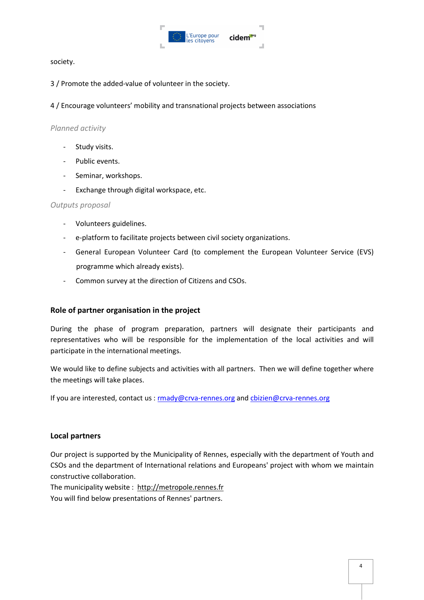

society.

3 / Promote the added-value of volunteer in the society.

4 / Encourage volunteers' mobility and transnational projects between associations

### *Planned activity*

- Study visits.
- Public events.
- Seminar, workshops.
- Exchange through digital workspace, etc.

#### *Outputs proposal*

- Volunteers guidelines.
- e-platform to facilitate projects between civil society organizations.
- General European Volunteer Card (to complement the European Volunteer Service (EVS) programme which already exists).
- Common survey at the direction of Citizens and CSOs.

## **Role of partner organisation in the project**

During the phase of program preparation, partners will designate their participants and representatives who will be responsible for the implementation of the local activities and will participate in the international meetings.

We would like to define subjects and activities with all partners. Then we will define together where the meetings will take places.

If you are interested, contact us : rmady@crva-rennes.org and cbizien@crva-rennes.org

#### **Local partners**

Our project is supported by the Municipality of Rennes, especially with the department of Youth and CSOs and the department of International relations and Europeans' project with whom we maintain constructive collaboration.

The municipality website : http://metropole.rennes.fr You will find below presentations of Rennes' partners.